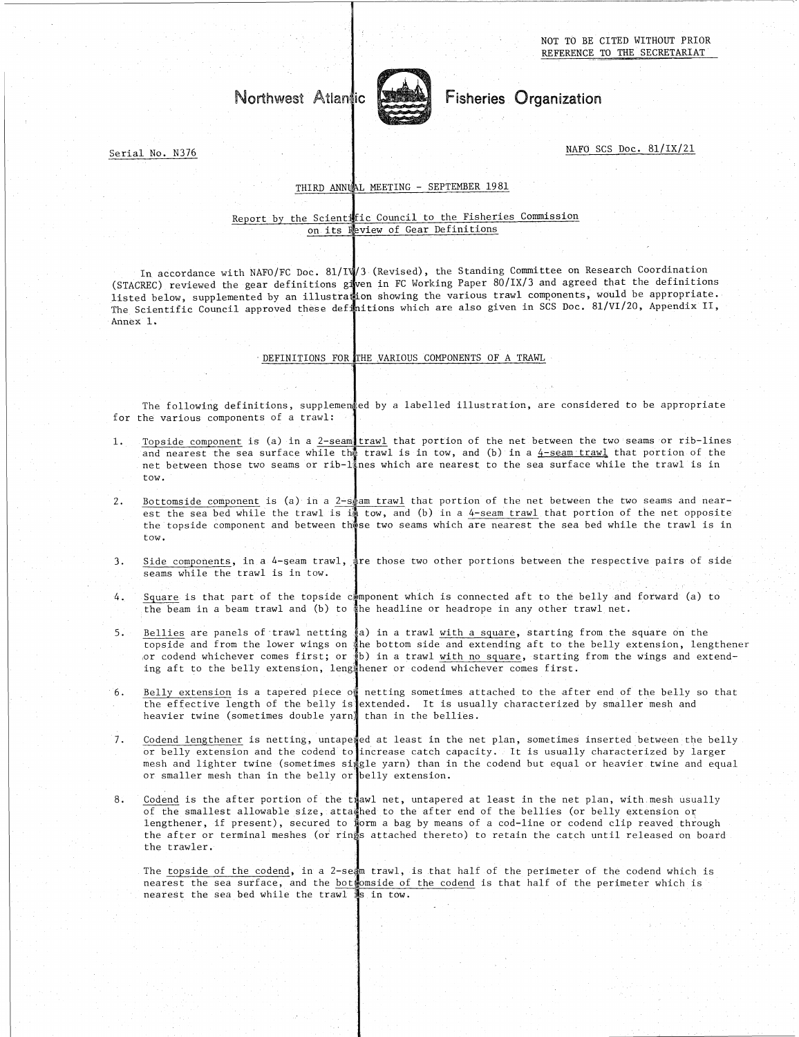NOT TO BE CITED WITHOUT PRIOR REFERENCE TO THE SECRETARIAT

# west Atlantic<br>west Atlantic



# Fisheries Organization

NAFO SCS Doc. 81/IX/21

Serial No. N376

### THIRD ANNUAL MEETING - SEPTEMBER 1981

### Report by the Scientific Council to the Fisheries Commission on its Neview of Gear Definitions

In accordance with NAFO/FC Doc. 81/IV/3 (Revised), the Standing Committee on Research Coordination (STACREC) reviewed the gear definitions given in FC Working Paper 80/IX/3 and agreed that the definitions listed below, supplemented by an illustration showing the various trawl components, would be appropriate The Scientific Council approved these definitions which are also given in SCS Doc. 81/VI/20, Appendix II, Annex 1.

## DEFINITIONS FOR THE VARIOUS COMPONENTS OF A TRAWL

The following definitions, supplemented by a labelled illustration, are considered to be appropriate for the various components of a trawl:

- Topside component is (a) in a <u>2-seam trawl</u> that portion of the net between the two seams or rib-lines and nearest the sea surface while the trawl is in tow, and (b) in a  $\frac{4-\text{seam}}{2}$  that portion of the net between those two seams or rib-lines which are nearest to the sea surface while the trawl is in tow. The following definitions, supplemented by a labelled illustration, are considered to be appropriate<br>for the various components of a travl:<br>1. <u>Topside component</u> is (a) in a 2-seam trawl that portion of the net between t
- Bottomside component is (a) in a 2-scam trawl that portion of the net between the two seams and nearest the sea bed while the trawl is in tow, and (b) in a 4-seam trawl that portion of the net opposite the topside component and between those two seams which are nearest the sea bed while the trawl is in tow.
- Side components, in a 4-seam trawl, are those two other portions between the respective pairs of side seams while the trawl is in tow.
- Square is that part of the topside component which is connected aft to the belly and forward (a) to the beam in a beam trawl and (b) to the headline or headrope in any other trawl net.
- For the sealed while the trawl is in a 2-seam trawl that portion of the net between the two seams and in est the sealed while the trawl is in tow, and (b) in a 4-seam trawl that portion of the net opposite the sealed comp topside and from the lower wings on the bottom side and extending aft to the belly extension, lengthener or codend whichever comes first; or (b) in a trawl with no square, starting from the wings and extending aft to the belly extension, lengthener or codend whichever comes first. The beam in a beam trawl and (b) to the headline or headrope in any other trawl net.<br>
5. Bellies are panels of trawl netting (a) in a trawl <u>with a square</u>, starting from the square on the<br>
topside and from the lower vings
- Belly extension is a tapered piece of netting sometimes attached to the after end of the belly so that the effective length of the belly is extended. It is usually characterized by smaller mesh and heavier twine (sometimes double yarn) than in the bellies.
- Codend lengthener is netting, untapexed at least in the net plan, sometimes inserted between the belly<br>or belly extension and the codend to increase catch capacity. It is usually characterized by larger mesh and lighter twine (sometimes single yarn) than in the codend but equal or heavier twine and equal or smaller mesh than in the belly or belly extension.
- 8. Solend is the after portion of the triawly and the steaded to the after end of the belly so the effective length of the belly is extended. It is usually characterized by smaller mesh and heavier twine (sometimes double of the smallest allowable size, attached to the after end of the bellies (or belly extension or lengthener, if present), secured to form a bag by means of a cod-line or codend clip reaved through the after or terminal meshes (or rings attached thereto) to retain the catch until released on board the trawler. Codend is the after portion of the trawl net, untapered at least in the net plan, with mesh usually

The topside of the codend, in a 2-seam trawl, is that half of the perimeter of the codend which is nearest the sea surface, and the bottomside of the codend is that half of the perimeter which is nearest the sea bed while the trawl is in tow.